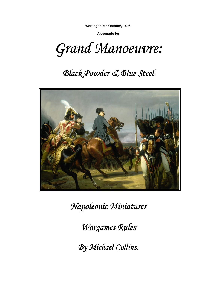**Wertingen 8th October, 1805.** 

**A scenario for** 

Grand Manoeuvre:

# **Black Powder & Blue Steel**



 $Napoleonic$  *Miniatures* 

*Wargames Rules Rules* 

*By Michael Collins. Collins.*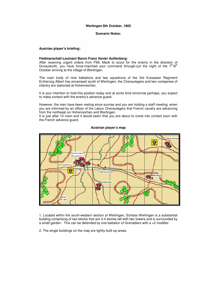#### **Scenario Notes:**

#### **Austrian player's briefing:**

#### **Feldmarschall-Leutnant Baron Franz Xavier Auffenberg:**

After receiving urgent orders from FML Mack to scout for the enemy in the direction of Donauworth, you have force-marched your command through-out the night of the  $7<sup>th</sup>/8<sup>th</sup>$ October arriving at the village of Wertingen.

The main body of nine battalions and two squadrons of the 3rd Kuirassier Regiment Erzherzog Albert has encamped south of Wertingen, the Chevaulegers and two companies of infantry are stationed at Hohenreichen.

It is your intention to hold this position today and at some time tomorrow perhaps, you expect to make contact with the enemy's advance guard.

However, the men have been resting since sunrise and you are holding a staff meeting, when you are informed by an officer of the Latour Chevaulegers that French cavalry are advancing from the northeast on Hohenreichen and Wertingen.

It is just after 12 noon and it would seem that you are about to come into contact soon with the French advance guard.



#### **Austrian player's map**

1. Located within the south-western section of Wertingen, Schloss Wertingen is a substantial building comprising of two blocks that are 3-4 stories tall with two towers and is surrounded by a small garden. This can be defended by one battalion of Grenadiers with  $a + 2$  modifier.

2. The single buildings on the map are lightly built-up areas.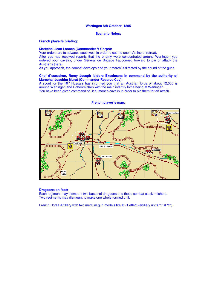#### **Scenario Notes:**

#### **French player/s briefing:**

## **Maréchal Jean Lannes (Commander V Corps):**

Your orders are to advance southwest in order to cut the enemy's line of retreat. After you had received reports that the enemy were concentrated around Wertingen you ordered your cavalry, under Général de Brigade Fauconnet, forward to pin or attack the Austrians there.

As you approach, the combat develops and your march is directed by the sound of the guns.

#### **Chef d`escadron, Remy Joseph Isidore Excelmans in command by the authority of Maréchal Joachim Murat (Commander Reserve Cav):**

A scout for the  $10<sup>th</sup>$  Hussars has informed you that an Austrian force of about 12,000 is around Wertingen and Hohenreichen with the main infantry force being at Wertingen. You have been given command of Beaumont's cavalry in order to pin them for an attack.

Hobenreiche Wenni Vertinge mumu 宴 Gottmannshofen mm **V**oonda ant ann an T **Bleinsbach SOF** eratshofen ₹oad to Ulm

#### **French player`s map:**

#### **Dragoons on foot:**

Each regiment may dismount two bases of dragoons and these combat as skirmishers. Two regiments may dismount to make one whole formed unit.

French Horse Artillery with two medium gun models fire at -1 effect (artillery units "1" & "2").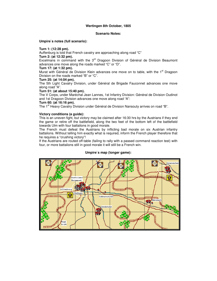#### **Scenario Notes:**

**Umpire`s notes (full scenario):** 

# **Turn 1: (12:28 pm).**

Auffenburg is told that French cavalry are approaching along road "C" **Turn 2: (at 12:32 pm).** 

Excelmans in command with the  $3<sup>rd</sup>$  Dragoon Division of Général de Division Beaumont advances one move along the roads marked "C" or "D".

### **Turn 17: (at 1:32 pm).**

Murat with Général de Division Klein advances one move on to table, with the 1<sup>st</sup> Dragoon Division on the roads marked "B" or "C".

### **Turn 25: (at 14:04 pm).**

The 5th Light Cavalry Division, under Général de Brigade Fauconnet advances one move along road "A".

# **Turn 51: (at about 15:40 pm).**

The V Corps, under Maréchal Jean Lannes, 1st Infantry Division: Général de Division Oudinot and 1st Dragoon Division advances one move along road "A":

# **Turn 60: (at 16:16 pm).**

The 1<sup>st</sup> Heavy Cavalry Division under Général de Division Nansouty arrives on road "B".

### **Victory conditions (a guide):**

This is an uneven fight, but victory may be claimed after 16:30 hrs by the Austrians if they end the game or retire off the battlefield, along the two feet of the bottom left of the battlefield towards Ulm with four battalions in good morale.

The French must defeat the Austrians by inflicting bad morale on six Austrian infantry battalions. Without telling him exactly what is required, inform the French player therefore that he requires a "crushing victory"!

If the Austrians are routed off-table (failing to rally with a passed command reaction test) with four, or more battalions still in good morale it will still be a French win.

# **Umpire`s map (longer game):**

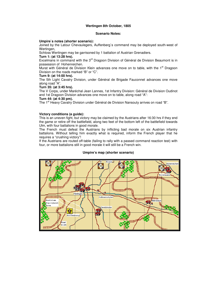#### **Scenario Notes:**

#### **Umpire`s notes (shorter scenario):**

Joined by the Latour Chevaulegers, Auffenberg`s command may be deployed south-west of Wertingen,

Schloss Wertingen may be garrisoned by 1 battalion of Austrian Grenadiers.

# **Turn 1: (at 13:28 hrs).**

Excelmans in command with the 3<sup>rd</sup> Dragoon Division of Général de Division Beaumont is in possession of Hohenreichen.

Murat with Général de Division Klein advances one move on to table, with the 1<sup>st</sup> Dragoon Division on the roads marked "B" or "C".

# **Turn 9: (at 14:00 hrs).**

The 5th Light Cavalry Division, under Général de Brigade Fauconnet advances one move along road "A".

#### **Turn 35: (at 3:45 hrs).**

The V Corps, under Maréchal Jean Lannes, 1st Infantry Division: Général de Division Oudinot and 1st Dragoon Division advances one move on to table, along road "A":

### **Turn 44: (at 4:30 pm).**

The 1<sup>st</sup> Heavy Cavalry Division under Général de Division Nansouty arrives on road "B".

#### **Victory conditions (a guide):**

This is an uneven fight, but victory may be claimed by the Austrians after 16:30 hrs if they end the game or retire off the battlefield, along two feet of the bottom left of the battlefield towards Ulm, with four battalions in good morale.

The French must defeat the Austrians by inflicting bad morale on six Austrian infantry battalions. Without telling him exactly what is required, inform the French player that he requires a "crushing victory"!

If the Austrians are routed off-table (failing to rally with a passed command reaction test) with four, or more battalions still in good morale it will still be a French win.

# **Umpire's map (shorter scenario)**

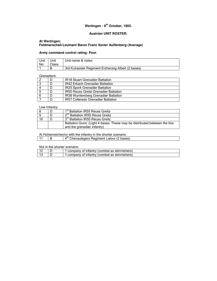# **Wertingen : 8th October, 1805.**

# **Austrian UNIT ROSTER:**

# **At Wertingen: Feldmarschall-Leutnant Baron Franz Xavier Auffenberg (Average)**

# **Army command control rating: Poor.**

| Unit<br>No: | Unit<br>Class: | Unit name & notes:                                 |
|-------------|----------------|----------------------------------------------------|
|             |                | 3rd Kuirassier Regiment Erzherzog Albert (2 bases) |

### Grenadiers:

|     | <b>IR18 Stuart Grenadier Battalion</b>       |
|-----|----------------------------------------------|
|     | IR42 Erbach Grenadier Battalion              |
|     | <b>IR25 Spork Grenadier Battalion</b>        |
| -5  | <b>IR55 Reuss Greitz Grenadier Battalion</b> |
| - 6 | IR38 Wurrtemberg Grenadier Battalion         |
|     | <b>IR57 Colleredo Grenadier Battalion</b>    |

#### Line Infantry:

|    | 1 <sup>st</sup> Battalion IR55 Reuss Greitz                                                              |
|----|----------------------------------------------------------------------------------------------------------|
|    | 2 <sup>nd</sup> Battalion IR55 Reuss Greitz                                                              |
| 10 | 3 <sup>rd</sup> Battalion IR55 Reuss Greitz                                                              |
|    | Battalion Guns: (Light 4 bases. These may be distributed between the line<br>and the grenadier infantry) |

At Hohenreichen/or with the infantry in the shorter scenario:

11 |  $\overline{B}$  |  $4^{\text{th}}$  Chevaulegers Regiment Latour (2 bases)

Not in the shorter scenario:

|  | 1 company of infantry (combat as skirmishers) |
|--|-----------------------------------------------|
|  | I company of infantry (combat as skirmishers) |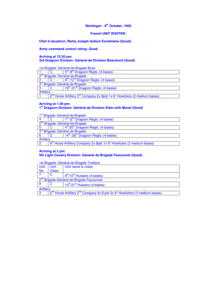# **French UNIT ROSTER:**

**Chef d`escadron, Remy Joseph Isidore Excelmans (Good).** 

**Army command control rating: Good.** 

# **Arriving at 12:30 pm:**

# **3rd Dragoon Division: Général de Division Beaumont (Good)**

1st Brigade: Général de Brigade Boyé

|                                             | 5 <sup>th</sup> /8 <sup>th</sup> Dragoon Regts. (4 bases)                                        |  |  |  |
|---------------------------------------------|--------------------------------------------------------------------------------------------------|--|--|--|
|                                             | 2 <sup>nd</sup> Brigade: Général de Brigade                                                      |  |  |  |
|                                             | $9th$ /12 <sup>th</sup> Dragoon Regts. (4 bases)                                                 |  |  |  |
| 3 <sup>rd</sup> Brigade: Général de Brigade |                                                                                                  |  |  |  |
|                                             | 16 <sup>th</sup> /21 <sup>st</sup> Dragoon Regts. (4 bases)                                      |  |  |  |
| Artillery:                                  |                                                                                                  |  |  |  |
|                                             | 2 <sup>nd</sup> Horse Artillery 3 <sup>rd</sup> Company 2x 8pdr 1x 6" Howitzers (2 medium bases) |  |  |  |

**Arriving at 1:30 pm:**

# **1 st Dragoon Division: Général de Division Klein with Murat (Good)**

|                                             | 1 <sup>st</sup> /2 <sup>nd</sup> Dragoon Regts. (4 bases)                                     |  |  |  |
|---------------------------------------------|-----------------------------------------------------------------------------------------------|--|--|--|
|                                             | 2 <sup>nd</sup> Brigade: Général de Brigade                                                   |  |  |  |
|                                             | 4 <sup>th</sup> /20 <sup>th</sup> Dragoon Regts. (4 bases)                                    |  |  |  |
| 3 <sup>rd</sup> Brigade: Général de Brigade |                                                                                               |  |  |  |
|                                             | 14 <sup>th</sup> /26 <sup>th</sup> Dragoon Regts. (4 bases)                                   |  |  |  |
| Artillery:                                  |                                                                                               |  |  |  |
| റ                                           | 6 <sup>th</sup> Horse Artillery Company 2x 8pdr 1x 6 <sup>th</sup> Howitzers (2 medium bases) |  |  |  |

### **Arriving at 2 pm: 5th Light Cavalry Division: Général de Brigade Fauconnet (Good)**

1st Brigade: Général de Brigade Treillard

| <b>Unit</b> | Unit                                                                                  | Unit name & notes:                                   |  |
|-------------|---------------------------------------------------------------------------------------|------------------------------------------------------|--|
| No:         | Class:                                                                                |                                                      |  |
|             |                                                                                       | $9th/10th$ Hussars (4 bases)                         |  |
|             | 2 <sup>nd</sup> Brigade Général de Brigade Fauconnet                                  |                                                      |  |
| -8          |                                                                                       | 13 <sup>th</sup> /21 <sup>st</sup> Hussars (4 bases) |  |
| Artillery:  |                                                                                       |                                                      |  |
| l 3         | $2^{nd}$ Horse Artillery $2^{nd}$ Company 4x 8 pdr 2x 6" Howitzters (3 medium bases). |                                                      |  |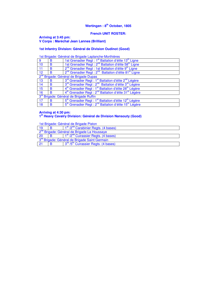# **French UNIT ROSTER:**

#### **Arriving at 3:45 pm: V Corps : Maréchal Jean Lannes (Brilliant)**

# **1st Infantry Division: Général de Division Oudinot (Good)**

1st Brigade: Général de Brigade Laplanche-Morthières

| 9                                                  | B | 1st Grenadier Regt : 1 <sup>st</sup> Battalion d'élite 13 <sup>th</sup> Ligne              |
|----------------------------------------------------|---|--------------------------------------------------------------------------------------------|
| 10                                                 | в | 1st Grenadier Regt : 2 <sup>nd</sup> Battalion d'élite 58 <sup>th</sup> Ligne              |
| 11                                                 | в | 2 <sup>nd</sup> Grenadier Regt : 1st Battalion d'élite 9 <sup>th</sup> Ligne               |
| 12                                                 | в | 2 <sup>nd</sup> Grenadier Regt : 2 <sup>nd</sup> Battalion d'élite 81 <sup>st</sup> Ligne  |
|                                                    |   | 2 <sup>nd</sup> Brigade: Général de Brigade Dupas                                          |
| 13                                                 | в | 3 <sup>rd</sup> Grenadier Regt : 1 <sup>st</sup> Battalion d'élite 2 <sup>nd</sup> Légère  |
| 14                                                 | B | 3rd Grenadier Regt : 2 <sup>nd</sup> Battalion d'élite 3 <sup>rd</sup> Légère              |
| 15                                                 | в | 4 <sup>th</sup> Grenadier Regt : 1 <sup>st</sup> Battalion d'élite 28 <sup>th</sup> Légère |
| 16                                                 | B | 4 <sup>th</sup> Grenadier Regt : 2 <sup>nd</sup> Battalion d'élite 31 <sup>st</sup> Légère |
| 3 <sup>rd</sup> Brigade: Général de Brigade Ruffin |   |                                                                                            |
| 17                                                 | в | 5 <sup>th</sup> Grenadier Regt : 1 <sup>st</sup> Battalion d'élite 12 <sup>th</sup> Légère |
| 18                                                 | B | 5 <sup>th</sup> Grenadier Regt : 2 <sup>nd</sup> Battalion d'élite 15 <sup>th</sup> Légère |

# **Arriving at 4:30 pm:**

# **1 st Heavy Cavalry Division: Général de Division Nansouty (Good)**

1st Brigade: Général de Brigade Piston

| 19                                                        |                                                         | 1 <sup>st</sup> /2 <sup>nd</sup> Carabinier Regts. (4 bases) |  |  |
|-----------------------------------------------------------|---------------------------------------------------------|--------------------------------------------------------------|--|--|
|                                                           | 2 <sup>nd</sup> Brigade: Général de Brigade La Houssaye |                                                              |  |  |
| 20                                                        |                                                         | $1st / 2nd$ Cuirassier Regts. (4 bases)                      |  |  |
| 3 <sup>rd</sup> Brigade: Général de Brigade Saint Germain |                                                         |                                                              |  |  |
| 21                                                        |                                                         | 3 <sup>rd</sup> /5 <sup>th</sup> Cuirassier Regts. (4 bases) |  |  |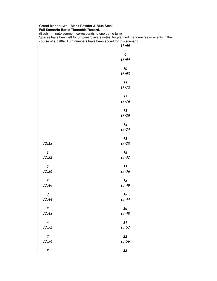|                         | 13:00                      |
|-------------------------|----------------------------|
|                         | $\boldsymbol{g}$           |
|                         | 13:04                      |
|                         |                            |
|                         | 10                         |
|                         | 13:08                      |
|                         | $\boldsymbol{\mathit{11}}$ |
|                         | 13:12                      |
|                         | 12                         |
|                         | 13:16                      |
|                         |                            |
|                         | 13                         |
|                         | 13:20                      |
|                         | 14                         |
|                         | 13:24                      |
|                         | 15                         |
| 12:28                   | 13:28                      |
|                         |                            |
| $\bm{l}$<br>12:32       | 16<br>13:32                |
|                         |                            |
| $\overline{\mathbf{c}}$ | 17                         |
| 12:36                   | 13:36                      |
| $\mathbf{3}$            | <b>18</b>                  |
| 12:40                   | 13:40                      |
| $\boldsymbol{4}$        | 19                         |
| 12:44                   | 13:44                      |
|                         |                            |
| $5\overline{)}$         | $20\,$                     |
| 12:48                   | 13:48                      |
| $\boldsymbol{6}$        | 21                         |
| 12:52                   | 13:52                      |
| $\overline{7}$          | 22                         |
| 12:56                   | 13:56                      |
|                         |                            |
| $\pmb{8}$               | 23                         |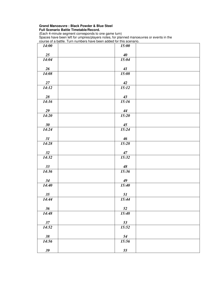| 14:00  | 15:00               |  |
|--------|---------------------|--|
| 25     | 40                  |  |
| 14:04  | $\overline{1}$ 5:04 |  |
| 26     | 41                  |  |
| 14:08  | 15:08               |  |
| 27     | 42                  |  |
| 14:12  | 15:12               |  |
| $28\,$ | 43                  |  |
| 14:16  | 15:16               |  |
| 29     | 44                  |  |
| 14:20  | 15:20               |  |
| 30     | 45                  |  |
| 14:24  | 15:24               |  |
| 31     | 46                  |  |
| 14:28  | 15:28               |  |
| 32     | 47                  |  |
| 14:32  | 15:32               |  |
| 33     | 48                  |  |
| 14:36  | 15:36               |  |
| 34     | 49                  |  |
| 14:40  | 15:40               |  |
| 35     | 51                  |  |
| 14:44  | 15:44               |  |
| 36     | 52                  |  |
| 14:48  | 15:48               |  |
| $37\,$ | 53                  |  |
| 14:52  | 15:52               |  |
| $38\,$ | 54                  |  |
| 14:56  | 15:56               |  |
| $39$   | 55                  |  |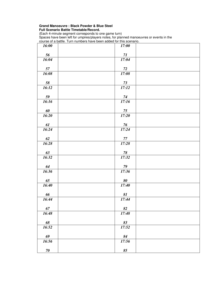| 16:00       | 17:00       |  |
|-------------|-------------|--|
| 56          | 71          |  |
| 16:04       | 17:04       |  |
| 57          | $72\,$      |  |
| 16:08       | 17:08       |  |
| 58          | 73          |  |
| 16:12       | 17:12       |  |
| 59          | 74          |  |
| 16:16       | 17:16       |  |
|             |             |  |
| 60          | 75          |  |
| 16:20       | 17:20       |  |
| 61          | 76          |  |
| 16:24       | 17:24       |  |
| 62          | 77          |  |
| 16.28       | 17:28       |  |
| 63          | 78          |  |
| 16:32       | 17:32       |  |
| 64          | $79\,$      |  |
| 16:36       | 17:36       |  |
|             |             |  |
| 65<br>16:40 | 80<br>17:40 |  |
|             |             |  |
| 66          | 81          |  |
| 16:44       | 17:44       |  |
| 67          | 82          |  |
| 16:48       | 17:48       |  |
| 68          | 83          |  |
| 16:52       | 17:52       |  |
|             |             |  |
| 69          | 84          |  |
| 16:56       | 17:56       |  |
| $70\,$      | 85          |  |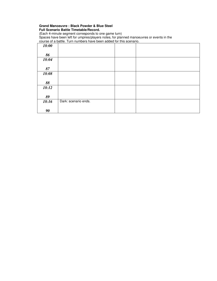| 18:00 |                      |  |
|-------|----------------------|--|
|       |                      |  |
| 86    |                      |  |
| 18:04 |                      |  |
|       |                      |  |
| 87    |                      |  |
| 18:08 |                      |  |
|       |                      |  |
| 88    |                      |  |
| 18:12 |                      |  |
|       |                      |  |
| 89    |                      |  |
| 18:16 | Dark: scenario ends. |  |
|       |                      |  |
| 90    |                      |  |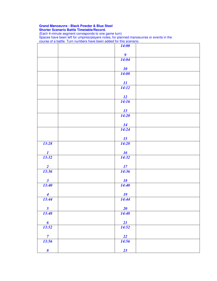|                         | <b>14:00</b>                         |
|-------------------------|--------------------------------------|
|                         |                                      |
|                         | $\overline{\boldsymbol{g}}$<br>14:04 |
|                         |                                      |
|                         | 10                                   |
|                         | 14:08                                |
|                         |                                      |
|                         | $\frac{11}{14:12}$                   |
|                         |                                      |
|                         | 12                                   |
|                         | 14:16                                |
|                         |                                      |
|                         | 13<br>14:20                          |
|                         |                                      |
|                         | 14                                   |
|                         | 14:24                                |
|                         | 15                                   |
| 13:28                   | 14:28                                |
|                         |                                      |
| $\boldsymbol{I}$        | 16                                   |
| 13:32                   | 14:32                                |
| $\overline{2}$          | 17                                   |
| 13:36                   | 14:36                                |
|                         |                                      |
| $\mathbf{3}$            | <u>18</u>                            |
| 13:40                   | 14:40                                |
| $\overline{\mathbf{4}}$ | 19                                   |
| 13:44                   | 14:44                                |
|                         |                                      |
| $5\overline{)}$         | 20                                   |
| 13:48                   | 14:48                                |
| $\boldsymbol{6}$        | 21                                   |
| 13:52                   | 14:52                                |
|                         |                                      |
| $\overline{7}$          | 22                                   |
| 13:56                   | 14:56                                |
| $\boldsymbol{\delta}$   | 23                                   |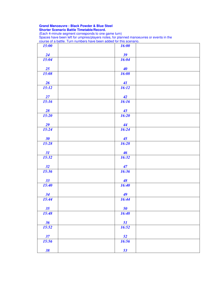| 15:00 | 16:00           |  |
|-------|-----------------|--|
| 24    | 39              |  |
| 15:04 | 16:04           |  |
| 25    | 40              |  |
| 15:08 | 16:08           |  |
| 26    | 41              |  |
| 15:12 | 16:12           |  |
| 27    | 42              |  |
| 15:16 | 16:16           |  |
| 28    | 43              |  |
| 15:20 | 16:20           |  |
| 29    | 44              |  |
| 15:24 | 16:24           |  |
| 30    | 45              |  |
| 15:28 | 16:28           |  |
| 31    | $\overline{46}$ |  |
| 15:32 | 16:32           |  |
| 32    | 47              |  |
| 15:36 | 16:36           |  |
| 33    | 48              |  |
| 15:40 | 16:40           |  |
| 34    | 49              |  |
| 15:44 | 16:44           |  |
| 35    | 50              |  |
| 15:48 | 16:48           |  |
| 36    | 51              |  |
| 15:52 | 16:52           |  |
| 37    | 52              |  |
| 15:56 | 16:56           |  |
| 38    | 53              |  |